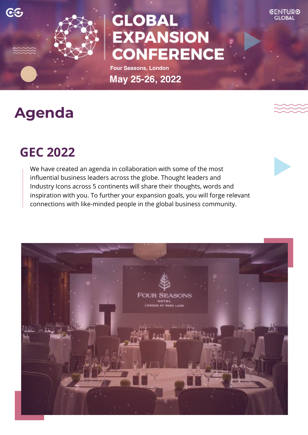

# **GLOBAL EXPANSION CONFERENCE**

**Four Seasons, London May 25-26, 2022**

# **Agenda**

## **GEC 2022**

We have created an agenda in collaboration with some of the most influential business leaders across the globe. Thought leaders and Industry Icons across 5 continents will share their thoughts, words and inspiration with you. To further your expansion goals, you will forge relevant connections with like-minded people in the global business community.

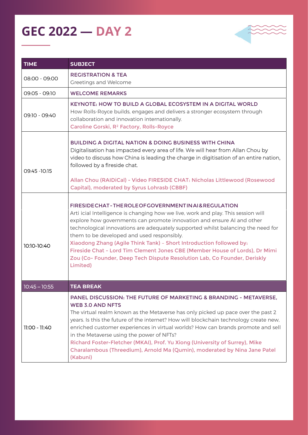### **GEC 2022 — Day 2**



| <b>TIME</b>     | <b>SUBJECT</b>                                                                                                                                                                                                                                                                                                                                                                                                                                                                                                                                                                                           |
|-----------------|----------------------------------------------------------------------------------------------------------------------------------------------------------------------------------------------------------------------------------------------------------------------------------------------------------------------------------------------------------------------------------------------------------------------------------------------------------------------------------------------------------------------------------------------------------------------------------------------------------|
| 08:00 - 09:00   | <b>REGISTRATION &amp; TEA</b><br>Greetings and Welcome                                                                                                                                                                                                                                                                                                                                                                                                                                                                                                                                                   |
| 09:05 - 09:10   | <b>WELCOME REMARKS</b>                                                                                                                                                                                                                                                                                                                                                                                                                                                                                                                                                                                   |
| 09:10 - 09:40   | KEYNOTE: HOW TO BUILD A GLOBAL ECOSYSTEM IN A DIGITAL WORLD<br>How Rolls-Royce builds, engages and delivers a stronger ecosystem through<br>collaboration and innovation internationally.<br>Caroline Gorski, R <sup>2</sup> Factory, Rolls-Royce                                                                                                                                                                                                                                                                                                                                                        |
| 09:45 - 10:15   | <b>BUILDING A DIGITAL NATION &amp; DOING BUSINESS WITH CHINA</b><br>Digitalisation has impacted every area of life. We will hear from Allan Chou by<br>video to discuss how China is leading the charge in digitisation of an entire nation,<br>followed by a fireside chat.<br>Allan Chou (RAIDiCal) - Video FIRESIDE CHAT: Nicholas Littlewood (Rosecastle<br>Capital), moderated by Syrus Lohrasb (CBBF)                                                                                                                                                                                              |
| 10:10-10:40     | FIRESIDE CHAT - THE ROLE OF GOVERNMENT IN A 1& REGULATION<br>Arti icial Intelligence is changing how we live, work and play. This session will<br>explore how governments can promote innovation and ensure AI and other<br>technological innovations are adequately supported whilst balancing the need for<br>them to be developed and used responsibly.<br>Xiaodong Zhang (Agile Think Tank) - Short Introduction followed by:<br>Fireside Chat - Lord Tim Clement Jones CBE (Member House of Lords), Dr Mimi<br>Zou (Co- Founder, Deep Tech Dispute Resolution Lab, Co Founder, Deriskly<br>Limited) |
| $10:45 - 10:55$ | <b>TEA BREAK</b>                                                                                                                                                                                                                                                                                                                                                                                                                                                                                                                                                                                         |
| 11:00 - 11:40   | <b>PANEL DISCUSSION: THE FUTURE OF MARKETING &amp; BRANDING - METAVERSE.</b><br><b>WEB 3.0 AND NFTS</b><br>The virtual realm known as the Metaverse has only picked up pace over the past 2<br>years. Is this the future of the internet? How will blockchain technology create new,<br>enriched customer experiences in virtual worlds? How can brands promote and sell<br>in the Metaverse using the power of NFTs?<br>Richard Foster-Fletcher (MKAI), Prof. Yu Xiong (University of Surrey), Mike<br>Charalambous (Threedium), Arnold Ma (Qumin), moderated by Nina Jane Patel<br>(Kabuni)            |